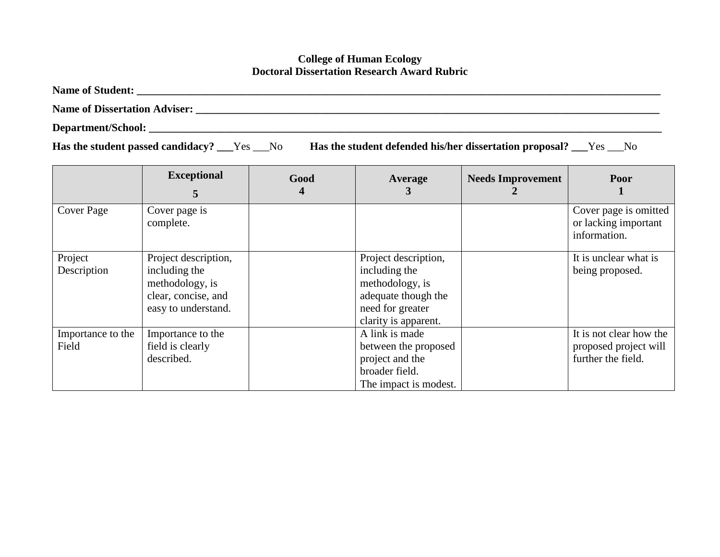## **College of Human Ecology Doctoral Dissertation Research Award Rubric**

**Name of Student: \_\_\_\_\_\_\_\_\_\_\_\_\_\_\_\_\_\_\_\_\_\_\_\_\_\_\_\_\_\_\_\_\_\_\_\_\_\_\_\_\_\_\_\_\_\_\_\_\_\_\_\_\_\_\_\_\_\_\_\_\_\_\_\_\_\_\_\_\_\_\_\_\_\_\_\_\_\_\_\_\_\_\_\_\_\_\_\_\_\_\_\_\_\_\_\_**

**Name of Dissertation Adviser: \_\_\_\_\_\_\_\_\_\_\_\_\_\_\_\_\_\_\_\_\_\_\_\_\_\_\_\_\_\_\_\_\_\_\_\_\_\_\_\_\_\_\_\_\_\_\_\_\_\_\_\_\_\_\_\_\_\_\_\_\_\_\_\_\_\_\_\_\_\_\_\_\_\_\_\_\_\_\_\_\_\_\_\_\_**

**Department/School: \_\_\_\_\_\_\_\_\_\_\_\_\_\_\_\_\_\_\_\_\_\_\_\_\_\_\_\_\_\_\_\_\_\_\_\_\_\_\_\_\_\_\_\_\_\_\_\_\_\_\_\_\_\_\_\_\_\_\_\_\_\_\_\_\_\_\_\_\_\_\_\_\_\_\_\_\_\_\_\_\_\_\_\_\_\_\_\_\_\_\_\_\_\_**

**Has the student passed candidacy? \_\_\_**Yes \_\_\_No **Has the student defended his/her dissertation proposal? \_\_\_**Yes \_\_\_No

|                            | <b>Exceptional</b><br>$\mathbf{c}$                                                                     | Good | Average                                                                                                                     | <b>Needs Improvement</b> | Poor                                                                   |
|----------------------------|--------------------------------------------------------------------------------------------------------|------|-----------------------------------------------------------------------------------------------------------------------------|--------------------------|------------------------------------------------------------------------|
| Cover Page                 | Cover page is<br>complete.                                                                             |      |                                                                                                                             |                          | Cover page is omitted<br>or lacking important<br>information.          |
| Project<br>Description     | Project description,<br>including the<br>methodology, is<br>clear, concise, and<br>easy to understand. |      | Project description,<br>including the<br>methodology, is<br>adequate though the<br>need for greater<br>clarity is apparent. |                          | It is unclear what is<br>being proposed.                               |
| Importance to the<br>Field | Importance to the<br>field is clearly<br>described.                                                    |      | A link is made<br>between the proposed<br>project and the<br>broader field.<br>The impact is modest.                        |                          | It is not clear how the<br>proposed project will<br>further the field. |